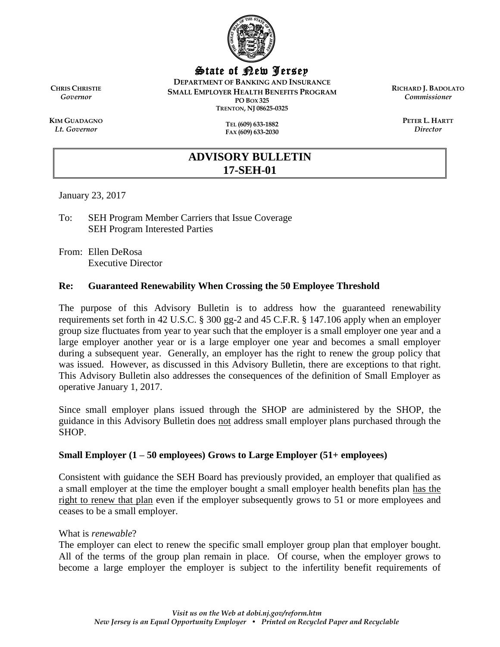

State of New Jersey

**DEPARTMENT OF BANKING AND INSURANCE SMALL EMPLOYER HEALTH BENEFITS PROGRAM PO BOX 325 TRENTON, NJ 08625-0325**

**RICHARD J. BADOLATO** *Commissioner*

> **PETER L. HARTT** *Director*

**CHRIS CHRISTIE** *Governor*

**KIM GUADAGNO** *Lt. Governor*

**TEL (609) 633-1882 FAX (609) 633-2030**

# **ADVISORY BULLETIN 17-SEH-01**

January 23, 2017

To: SEH Program Member Carriers that Issue Coverage SEH Program Interested Parties

From: Ellen DeRosa Executive Director

# **Re: Guaranteed Renewability When Crossing the 50 Employee Threshold**

The purpose of this Advisory Bulletin is to address how the guaranteed renewability requirements set forth in 42 U.S.C. § 300 gg-2 and 45 C.F.R. § 147.106 apply when an employer group size fluctuates from year to year such that the employer is a small employer one year and a large employer another year or is a large employer one year and becomes a small employer during a subsequent year. Generally, an employer has the right to renew the group policy that was issued. However, as discussed in this Advisory Bulletin, there are exceptions to that right. This Advisory Bulletin also addresses the consequences of the definition of Small Employer as operative January 1, 2017.

Since small employer plans issued through the SHOP are administered by the SHOP, the guidance in this Advisory Bulletin does not address small employer plans purchased through the SHOP.

# **Small Employer (1 – 50 employees) Grows to Large Employer (51+ employees)**

Consistent with guidance the SEH Board has previously provided, an employer that qualified as a small employer at the time the employer bought a small employer health benefits plan has the right to renew that plan even if the employer subsequently grows to 51 or more employees and ceases to be a small employer.

#### What is *renewable*?

The employer can elect to renew the specific small employer group plan that employer bought. All of the terms of the group plan remain in place. Of course, when the employer grows to become a large employer the employer is subject to the infertility benefit requirements of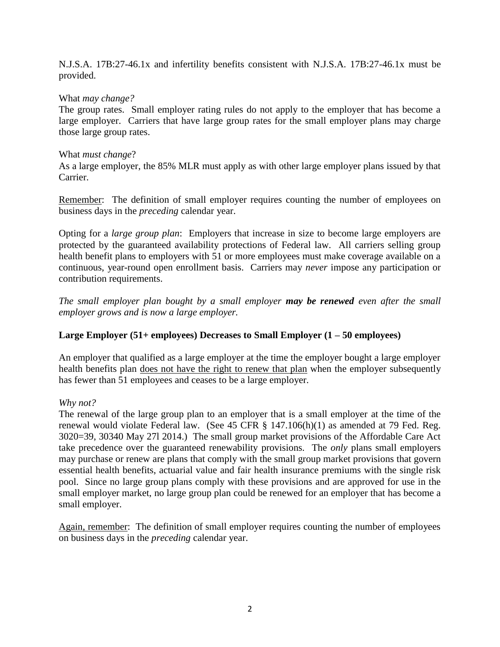N.J.S.A. 17B:27-46.1x and infertility benefits consistent with N.J.S.A. 17B:27-46.1x must be provided.

## What *may change?*

The group rates. Small employer rating rules do not apply to the employer that has become a large employer. Carriers that have large group rates for the small employer plans may charge those large group rates.

#### What *must change*?

As a large employer, the 85% MLR must apply as with other large employer plans issued by that Carrier.

Remember: The definition of small employer requires counting the number of employees on business days in the *preceding* calendar year.

Opting for a *large group plan*: Employers that increase in size to become large employers are protected by the guaranteed availability protections of Federal law. All carriers selling group health benefit plans to employers with 51 or more employees must make coverage available on a continuous, year-round open enrollment basis. Carriers may *never* impose any participation or contribution requirements.

*The small employer plan bought by a small employer may be renewed even after the small employer grows and is now a large employer.* 

#### **Large Employer (51+ employees) Decreases to Small Employer (1 – 50 employees)**

An employer that qualified as a large employer at the time the employer bought a large employer health benefits plan does not have the right to renew that plan when the employer subsequently has fewer than 51 employees and ceases to be a large employer.

#### *Why not?*

The renewal of the large group plan to an employer that is a small employer at the time of the renewal would violate Federal law. (See 45 CFR § 147.106(h)(1) as amended at 79 Fed. Reg. 3020=39, 30340 May 27l 2014.) The small group market provisions of the Affordable Care Act take precedence over the guaranteed renewability provisions. The *only* plans small employers may purchase or renew are plans that comply with the small group market provisions that govern essential health benefits, actuarial value and fair health insurance premiums with the single risk pool. Since no large group plans comply with these provisions and are approved for use in the small employer market, no large group plan could be renewed for an employer that has become a small employer.

Again, remember: The definition of small employer requires counting the number of employees on business days in the *preceding* calendar year.